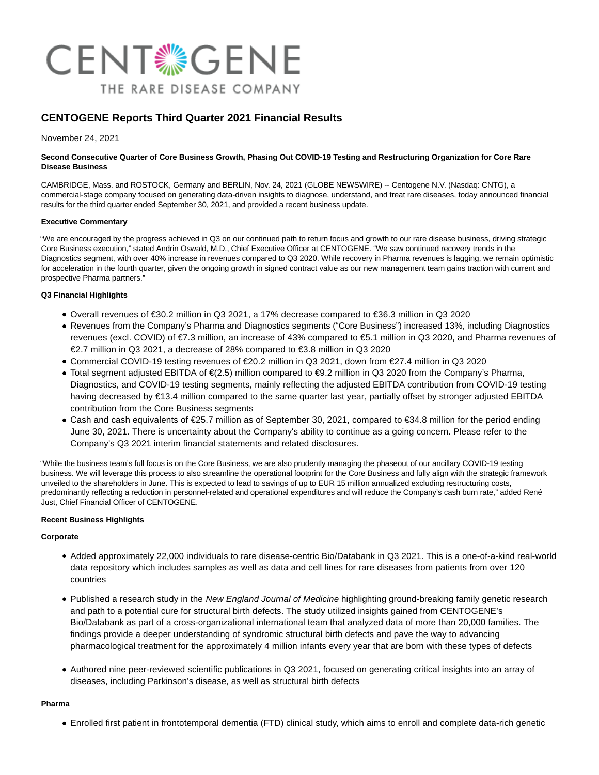

# **CENTOGENE Reports Third Quarter 2021 Financial Results**

November 24, 2021

#### **Second Consecutive Quarter of Core Business Growth, Phasing Out COVID-19 Testing and Restructuring Organization for Core Rare Disease Business**

CAMBRIDGE, Mass. and ROSTOCK, Germany and BERLIN, Nov. 24, 2021 (GLOBE NEWSWIRE) -- Centogene N.V. (Nasdaq: CNTG), a commercial-stage company focused on generating data-driven insights to diagnose, understand, and treat rare diseases, today announced financial results for the third quarter ended September 30, 2021, and provided a recent business update.

### **Executive Commentary**

"We are encouraged by the progress achieved in Q3 on our continued path to return focus and growth to our rare disease business, driving strategic Core Business execution," stated Andrin Oswald, M.D., Chief Executive Officer at CENTOGENE. "We saw continued recovery trends in the Diagnostics segment, with over 40% increase in revenues compared to Q3 2020. While recovery in Pharma revenues is lagging, we remain optimistic for acceleration in the fourth quarter, given the ongoing growth in signed contract value as our new management team gains traction with current and prospective Pharma partners."

### **Q3 Financial Highlights**

- Overall revenues of €30.2 million in Q3 2021, a 17% decrease compared to €36.3 million in Q3 2020
- Revenues from the Company's Pharma and Diagnostics segments ("Core Business") increased 13%, including Diagnostics revenues (excl. COVID) of €7.3 million, an increase of 43% compared to €5.1 million in Q3 2020, and Pharma revenues of €2.7 million in Q3 2021, a decrease of 28% compared to €3.8 million in Q3 2020
- Commercial COVID-19 testing revenues of €20.2 million in Q3 2021, down from €27.4 million in Q3 2020
- Total segment adjusted EBITDA of €(2.5) million compared to €9.2 million in Q3 2020 from the Company's Pharma, Diagnostics, and COVID-19 testing segments, mainly reflecting the adjusted EBITDA contribution from COVID-19 testing having decreased by €13.4 million compared to the same quarter last year, partially offset by stronger adjusted EBITDA contribution from the Core Business segments
- Cash and cash equivalents of €25.7 million as of September 30, 2021, compared to €34.8 million for the period ending June 30, 2021. There is uncertainty about the Company's ability to continue as a going concern. Please refer to the Company's Q3 2021 interim financial statements and related disclosures.

"While the business team's full focus is on the Core Business, we are also prudently managing the phaseout of our ancillary COVID-19 testing business. We will leverage this process to also streamline the operational footprint for the Core Business and fully align with the strategic framework unveiled to the shareholders in June. This is expected to lead to savings of up to EUR 15 million annualized excluding restructuring costs, predominantly reflecting a reduction in personnel-related and operational expenditures and will reduce the Company's cash burn rate," added René Just, Chief Financial Officer of CENTOGENE.

#### **Recent Business Highlights**

#### **Corporate**

- Added approximately 22,000 individuals to rare disease-centric Bio/Databank in Q3 2021. This is a one-of-a-kind real-world data repository which includes samples as well as data and cell lines for rare diseases from patients from over 120 countries
- Published a research study in the New England Journal of Medicine highlighting ground-breaking family genetic research and path to a potential cure for structural birth defects. The study utilized insights gained from CENTOGENE's Bio/Databank as part of a cross-organizational international team that analyzed data of more than 20,000 families. The findings provide a deeper understanding of syndromic structural birth defects and pave the way to advancing pharmacological treatment for the approximately 4 million infants every year that are born with these types of defects
- Authored nine peer-reviewed scientific publications in Q3 2021, focused on generating critical insights into an array of diseases, including Parkinson's disease, as well as structural birth defects

#### **Pharma**

Enrolled first patient in frontotemporal dementia (FTD) clinical study, which aims to enroll and complete data-rich genetic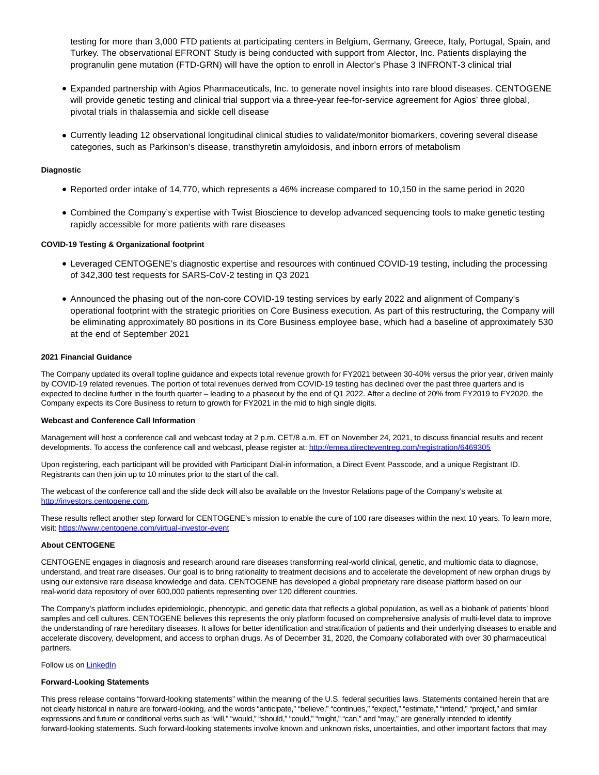testing for more than 3,000 FTD patients at participating centers in Belgium, Germany, Greece, Italy, Portugal, Spain, and Turkey. The observational EFRONT Study is being conducted with support from Alector, Inc. Patients displaying the progranulin gene mutation (FTD-GRN) will have the option to enroll in Alector's Phase 3 INFRONT-3 clinical trial

- Expanded partnership with Agios Pharmaceuticals, Inc. to generate novel insights into rare blood diseases. CENTOGENE will provide genetic testing and clinical trial support via a three-year fee-for-service agreement for Agios' three global, pivotal trials in thalassemia and sickle cell disease
- Currently leading 12 observational longitudinal clinical studies to validate/monitor biomarkers, covering several disease categories, such as Parkinson's disease, transthyretin amyloidosis, and inborn errors of metabolism

#### **Diagnostic**

- Reported order intake of 14,770, which represents a 46% increase compared to 10,150 in the same period in 2020
- Combined the Company's expertise with Twist Bioscience to develop advanced sequencing tools to make genetic testing rapidly accessible for more patients with rare diseases

#### **COVID-19 Testing & Organizational footprint**

- Leveraged CENTOGENE's diagnostic expertise and resources with continued COVID-19 testing, including the processing of 342,300 test requests for SARS-CoV-2 testing in Q3 2021
- Announced the phasing out of the non-core COVID-19 testing services by early 2022 and alignment of Company's operational footprint with the strategic priorities on Core Business execution. As part of this restructuring, the Company will be eliminating approximately 80 positions in its Core Business employee base, which had a baseline of approximately 530 at the end of September 2021

#### **2021 Financial Guidance**

The Company updated its overall topline guidance and expects total revenue growth for FY2021 between 30-40% versus the prior year, driven mainly by COVID-19 related revenues. The portion of total revenues derived from COVID-19 testing has declined over the past three quarters and is expected to decline further in the fourth quarter – leading to a phaseout by the end of Q1 2022. After a decline of 20% from FY2019 to FY2020, the Company expects its Core Business to return to growth for FY2021 in the mid to high single digits.

#### **Webcast and Conference Call Information**

Management will host a conference call and webcast today at 2 p.m. CET/8 a.m. ET on November 24, 2021, to discuss financial results and recent developments. To access the conference call and webcast, please register at[: http://emea.directeventreg.com/registration/6469305](https://www.globenewswire.com/Tracker?data=Ro7mOaY1QV9S-TvUzvpQHCzDba_9TpkLVTC9XpUTr7sCW7BMF_qCpPNBP6bFAWxdDIhz1-iPlSYrwC9XQCt5Q4ClTni1llNN7LnYDLsOq7XEE3HTuHouWFqfxo1s1TFG8llwbjFTXbP0GIydYdRMMOE9D_-5TZx_gSCZeQpVkn4=)

Upon registering, each participant will be provided with Participant Dial-in information, a Direct Event Passcode, and a unique Registrant ID. Registrants can then join up to 10 minutes prior to the start of the call.

The webcast of the conference call and the slide deck will also be available on the Investor Relations page of the Company's website at [http://investors.centogene.com.](https://www.globenewswire.com/Tracker?data=Ro7mOaY1QV9S-TvUzvpQHIcrkelYV09KO1rM6rLd1Yme9L2uNNPkd3JyfwrTobaNFZX9J8fwnsvmzGX6ey5VldndfJhTp37Nc8803LnSOv_M5uYuhED5-Ke2oK1OR684)

These results reflect another step forward for CENTOGENE's mission to enable the cure of 100 rare diseases within the next 10 years. To learn more, visit: [https://www.centogene.com/virtual-investor-event](https://www.globenewswire.com/Tracker?data=ahddZjSkpZHtsv537dYH7wHz-cIEkqjBug7CtdvljxceFxnZhuzpnvt6oPQ6sagR-dTZ75YKMUEBh2XIXB3rvZJ3cRK-wqLwfiuPW-aWhKviJsAJtb0l_Y401AJ6OuuU-xxNWFjX3I1KeX7v6Pj-PzGFmm-R3b-t4wK5ZQ_s4f8=)

#### **About CENTOGENE**

CENTOGENE engages in diagnosis and research around rare diseases transforming real-world clinical, genetic, and multiomic data to diagnose, understand, and treat rare diseases. Our goal is to bring rationality to treatment decisions and to accelerate the development of new orphan drugs by using our extensive rare disease knowledge and data. CENTOGENE has developed a global proprietary rare disease platform based on our real-world data repository of over 600,000 patients representing over 120 different countries.

The Company's platform includes epidemiologic, phenotypic, and genetic data that reflects a global population, as well as a biobank of patients' blood samples and cell cultures. CENTOGENE believes this represents the only platform focused on comprehensive analysis of multi-level data to improve the understanding of rare hereditary diseases. It allows for better identification and stratification of patients and their underlying diseases to enable and accelerate discovery, development, and access to orphan drugs. As of December 31, 2020, the Company collaborated with over 30 pharmaceutical partners.

### Follow us on **LinkedIn**

#### **Forward-Looking Statements**

This press release contains "forward-looking statements" within the meaning of the U.S. federal securities laws. Statements contained herein that are not clearly historical in nature are forward-looking, and the words "anticipate," "believe," "continues," "expect," "estimate," "intend," "project," and similar expressions and future or conditional verbs such as "will," "would," "should," "could," "might," "can," and "may," are generally intended to identify forward-looking statements. Such forward-looking statements involve known and unknown risks, uncertainties, and other important factors that may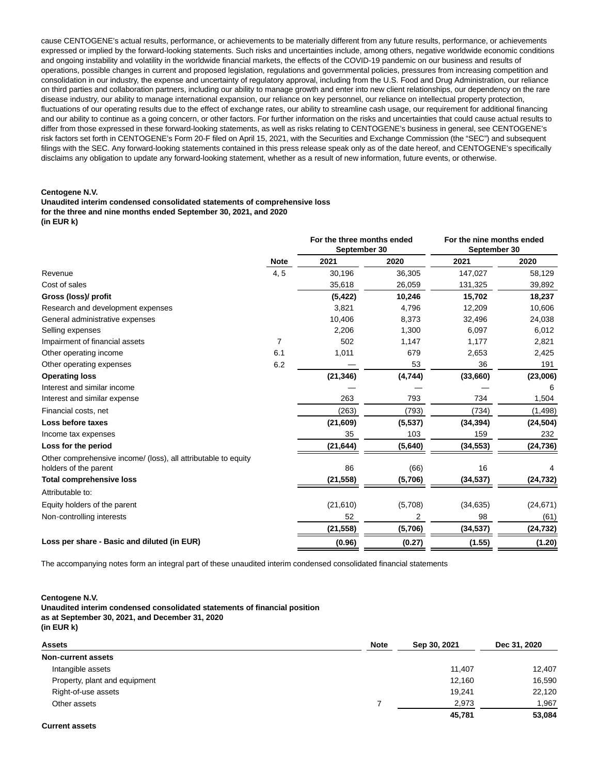cause CENTOGENE's actual results, performance, or achievements to be materially different from any future results, performance, or achievements expressed or implied by the forward-looking statements. Such risks and uncertainties include, among others, negative worldwide economic conditions and ongoing instability and volatility in the worldwide financial markets, the effects of the COVID-19 pandemic on our business and results of operations, possible changes in current and proposed legislation, regulations and governmental policies, pressures from increasing competition and consolidation in our industry, the expense and uncertainty of regulatory approval, including from the U.S. Food and Drug Administration, our reliance on third parties and collaboration partners, including our ability to manage growth and enter into new client relationships, our dependency on the rare disease industry, our ability to manage international expansion, our reliance on key personnel, our reliance on intellectual property protection, fluctuations of our operating results due to the effect of exchange rates, our ability to streamline cash usage, our requirement for additional financing and our ability to continue as a going concern, or other factors. For further information on the risks and uncertainties that could cause actual results to differ from those expressed in these forward-looking statements, as well as risks relating to CENTOGENE's business in general, see CENTOGENE's risk factors set forth in CENTOGENE's Form 20-F filed on April 15, 2021, with the Securities and Exchange Commission (the "SEC") and subsequent filings with the SEC. Any forward-looking statements contained in this press release speak only as of the date hereof, and CENTOGENE's specifically disclaims any obligation to update any forward-looking statement, whether as a result of new information, future events, or otherwise.

#### **Centogene N.V.**

**Unaudited interim condensed consolidated statements of comprehensive loss for the three and nine months ended September 30, 2021, and 2020 (in EUR k)**

|                                                                                         | <b>Note</b>    | For the three months ended<br>September 30 |         | For the nine months ended<br>September 30 |           |
|-----------------------------------------------------------------------------------------|----------------|--------------------------------------------|---------|-------------------------------------------|-----------|
|                                                                                         |                | 2021                                       | 2020    | 2021                                      | 2020      |
| Revenue                                                                                 | 4, 5           | 30,196                                     | 36,305  | 147,027                                   | 58,129    |
| Cost of sales                                                                           |                | 35,618                                     | 26,059  | 131,325                                   | 39,892    |
| Gross (loss)/ profit                                                                    |                | (5, 422)                                   | 10,246  | 15,702                                    | 18,237    |
| Research and development expenses                                                       |                | 3,821                                      | 4,796   | 12,209                                    | 10,606    |
| General administrative expenses                                                         |                | 10,406                                     | 8,373   | 32,496                                    | 24,038    |
| Selling expenses                                                                        |                | 2,206                                      | 1,300   | 6,097                                     | 6,012     |
| Impairment of financial assets                                                          | $\overline{7}$ | 502                                        | 1,147   | 1,177                                     | 2,821     |
| Other operating income                                                                  | 6.1            | 1,011                                      | 679     | 2,653                                     | 2,425     |
| Other operating expenses                                                                | 6.2            |                                            | 53      | 36                                        | 191       |
| <b>Operating loss</b>                                                                   |                | (21, 346)                                  | (4,744) | (33,660)                                  | (23,006)  |
| Interest and similar income                                                             |                |                                            |         |                                           | 6         |
| Interest and similar expense                                                            |                | 263                                        | 793     | 734                                       | 1,504     |
| Financial costs, net                                                                    |                | (263)                                      | (793)   | (734)                                     | (1, 498)  |
| Loss before taxes                                                                       |                | (21,609)                                   | (5,537) | (34, 394)                                 | (24, 504) |
| Income tax expenses                                                                     |                | 35                                         | 103     | 159                                       | 232       |
| Loss for the period                                                                     |                | (21, 644)                                  | (5,640) | (34, 553)                                 | (24, 736) |
| Other comprehensive income/ (loss), all attributable to equity<br>holders of the parent |                | 86                                         | (66)    | 16                                        |           |
| <b>Total comprehensive loss</b>                                                         |                | (21, 558)                                  | (5,706) | (34, 537)                                 | (24, 732) |
| Attributable to:                                                                        |                |                                            |         |                                           |           |
| Equity holders of the parent                                                            |                | (21, 610)                                  | (5,708) | (34, 635)                                 | (24, 671) |
| Non-controlling interests                                                               |                | 52                                         | 2       | 98                                        | (61)      |
|                                                                                         |                | (21, 558)                                  | (5,706) | (34, 537)                                 | (24, 732) |
| Loss per share - Basic and diluted (in EUR)                                             |                | (0.96)                                     | (0.27)  | (1.55)                                    | (1.20)    |

The accompanying notes form an integral part of these unaudited interim condensed consolidated financial statements

#### **Centogene N.V.**

**Unaudited interim condensed consolidated statements of financial position as at September 30, 2021, and December 31, 2020 (in EUR k)**

| <b>Assets</b>                 | <b>Note</b> | Sep 30, 2021 | Dec 31, 2020 |
|-------------------------------|-------------|--------------|--------------|
| Non-current assets            |             |              |              |
| Intangible assets             |             | 11.407       | 12,407       |
| Property, plant and equipment |             | 12,160       | 16,590       |
| Right-of-use assets           |             | 19.241       | 22,120       |
| Other assets                  |             | 2,973        | 1,967        |
|                               |             | 45.781       | 53.084       |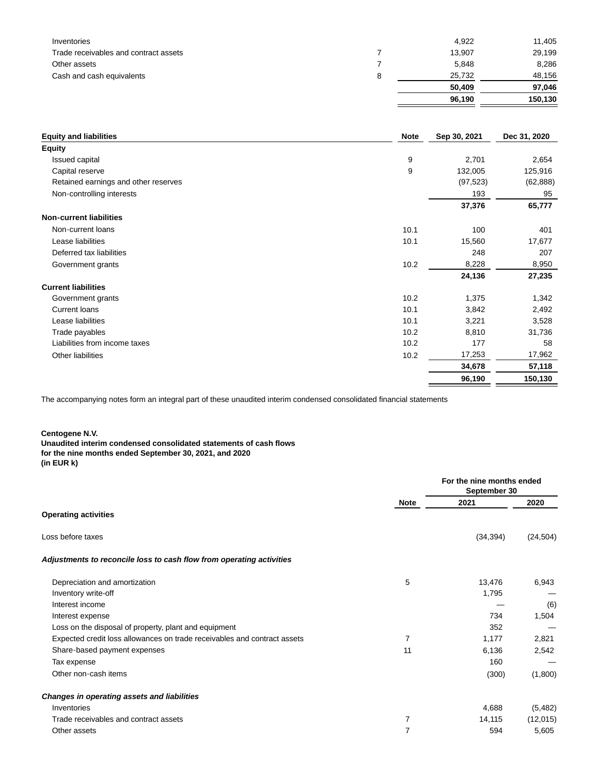| Inventories                           |   | 4.922  | 11,405  |
|---------------------------------------|---|--------|---------|
| Trade receivables and contract assets |   | 13,907 | 29,199  |
| Other assets                          |   | 5,848  | 8,286   |
| Cash and cash equivalents             | 8 | 25.732 | 48,156  |
|                                       |   | 50,409 | 97,046  |
|                                       |   | 96,190 | 150.130 |

| <b>Equity and liabilities</b>        | <b>Note</b> | Sep 30, 2021 | Dec 31, 2020 |
|--------------------------------------|-------------|--------------|--------------|
| <b>Equity</b>                        |             |              |              |
| Issued capital                       | 9           | 2,701        | 2,654        |
| Capital reserve                      | 9           | 132,005      | 125,916      |
| Retained earnings and other reserves |             | (97, 523)    | (62, 888)    |
| Non-controlling interests            |             | 193          | 95           |
|                                      |             | 37,376       | 65,777       |
| <b>Non-current liabilities</b>       |             |              |              |
| Non-current loans                    | 10.1        | 100          | 401          |
| Lease liabilities                    | 10.1        | 15,560       | 17,677       |
| Deferred tax liabilities             |             | 248          | 207          |
| Government grants                    | 10.2        | 8,228        | 8,950        |
|                                      |             | 24,136       | 27,235       |
| <b>Current liabilities</b>           |             |              |              |
| Government grants                    | 10.2        | 1,375        | 1,342        |
| <b>Current loans</b>                 | 10.1        | 3,842        | 2,492        |
| Lease liabilities                    | 10.1        | 3,221        | 3,528        |
| Trade payables                       | 10.2        | 8,810        | 31,736       |
| Liabilities from income taxes        | 10.2        | 177          | 58           |
| Other liabilities                    | 10.2        | 17,253       | 17,962       |
|                                      |             | 34,678       | 57,118       |
|                                      |             | 96,190       | 150,130      |
|                                      |             |              |              |

The accompanying notes form an integral part of these unaudited interim condensed consolidated financial statements

**Centogene N.V.**

**Unaudited interim condensed consolidated statements of cash flows for the nine months ended September 30, 2021, and 2020 (in EUR k)**

|                                                                          |                | For the nine months ended<br>September 30 |           |
|--------------------------------------------------------------------------|----------------|-------------------------------------------|-----------|
|                                                                          | <b>Note</b>    | 2021                                      | 2020      |
| <b>Operating activities</b>                                              |                |                                           |           |
| Loss before taxes                                                        |                | (34, 394)                                 | (24, 504) |
| Adjustments to reconcile loss to cash flow from operating activities     |                |                                           |           |
| Depreciation and amortization                                            | 5              | 13,476                                    | 6,943     |
| Inventory write-off                                                      |                | 1,795                                     |           |
| Interest income                                                          |                |                                           | (6)       |
| Interest expense                                                         |                | 734                                       | 1,504     |
| Loss on the disposal of property, plant and equipment                    |                | 352                                       |           |
| Expected credit loss allowances on trade receivables and contract assets | 7              | 1,177                                     | 2,821     |
| Share-based payment expenses                                             | 11             | 6,136                                     | 2,542     |
| Tax expense                                                              |                | 160                                       |           |
| Other non-cash items                                                     |                | (300)                                     | (1,800)   |
| <b>Changes in operating assets and liabilities</b>                       |                |                                           |           |
| Inventories                                                              |                | 4,688                                     | (5,482)   |
| Trade receivables and contract assets                                    | 7              | 14,115                                    | (12,015)  |
| Other assets                                                             | $\overline{7}$ | 594                                       | 5,605     |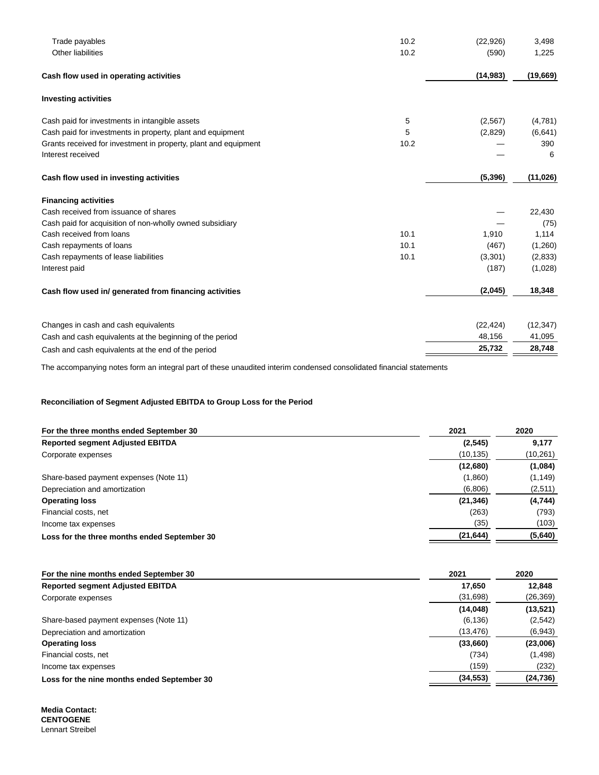| 10.2<br>Trade payables                                                  | (22, 926) | 3,498     |
|-------------------------------------------------------------------------|-----------|-----------|
| Other liabilities<br>10.2                                               | (590)     | 1,225     |
| Cash flow used in operating activities                                  | (14, 983) | (19,669)  |
| <b>Investing activities</b>                                             |           |           |
| Cash paid for investments in intangible assets<br>5                     | (2,567)   | (4,781)   |
| Cash paid for investments in property, plant and equipment<br>5         | (2,829)   | (6,641)   |
| Grants received for investment in property, plant and equipment<br>10.2 |           | 390       |
| Interest received                                                       |           | 6         |
| Cash flow used in investing activities                                  | (5, 396)  | (11, 026) |
| <b>Financing activities</b>                                             |           |           |
| Cash received from issuance of shares                                   |           | 22,430    |
| Cash paid for acquisition of non-wholly owned subsidiary                |           | (75)      |
| Cash received from loans<br>10.1                                        | 1,910     | 1,114     |
| 10.1<br>Cash repayments of loans                                        | (467)     | (1,260)   |
| 10.1<br>Cash repayments of lease liabilities                            | (3,301)   | (2, 833)  |
| Interest paid                                                           | (187)     | (1,028)   |
| Cash flow used in/ generated from financing activities                  | (2,045)   | 18,348    |
| Changes in cash and cash equivalents                                    | (22, 424) | (12, 347) |
| Cash and cash equivalents at the beginning of the period                | 48,156    | 41,095    |
| Cash and cash equivalents at the end of the period                      | 25,732    | 28,748    |

The accompanying notes form an integral part of these unaudited interim condensed consolidated financial statements

## **Reconciliation of Segment Adjusted EBITDA to Group Loss for the Period**

| For the three months ended September 30      | 2021      | 2020     |
|----------------------------------------------|-----------|----------|
| <b>Reported segment Adjusted EBITDA</b>      | (2,545)   | 9,177    |
| Corporate expenses                           | (10, 135) | (10,261) |
|                                              | (12,680)  | (1,084)  |
| Share-based payment expenses (Note 11)       | (1,860)   | (1, 149) |
| Depreciation and amortization                | (6,806)   | (2,511)  |
| <b>Operating loss</b>                        | (21, 346) | (4,744)  |
| Financial costs, net                         | (263)     | (793)    |
| Income tax expenses                          | (35)      | (103)    |
| Loss for the three months ended September 30 | (21, 644) | (5,640)  |

| For the nine months ended September 30      | 2021      | 2020      |
|---------------------------------------------|-----------|-----------|
| <b>Reported segment Adjusted EBITDA</b>     | 17,650    | 12,848    |
| Corporate expenses                          | (31, 698) | (26,369)  |
|                                             | (14, 048) | (13, 521) |
| Share-based payment expenses (Note 11)      | (6, 136)  | (2,542)   |
| Depreciation and amortization               | (13, 476) | (6,943)   |
| <b>Operating loss</b>                       | (33,660)  | (23,006)  |
| Financial costs, net                        | (734)     | (1, 498)  |
| Income tax expenses                         | (159)     | (232)     |
| Loss for the nine months ended September 30 | (34, 553) | (24, 736) |

**Media Contact: CENTOGENE** Lennart Streibel